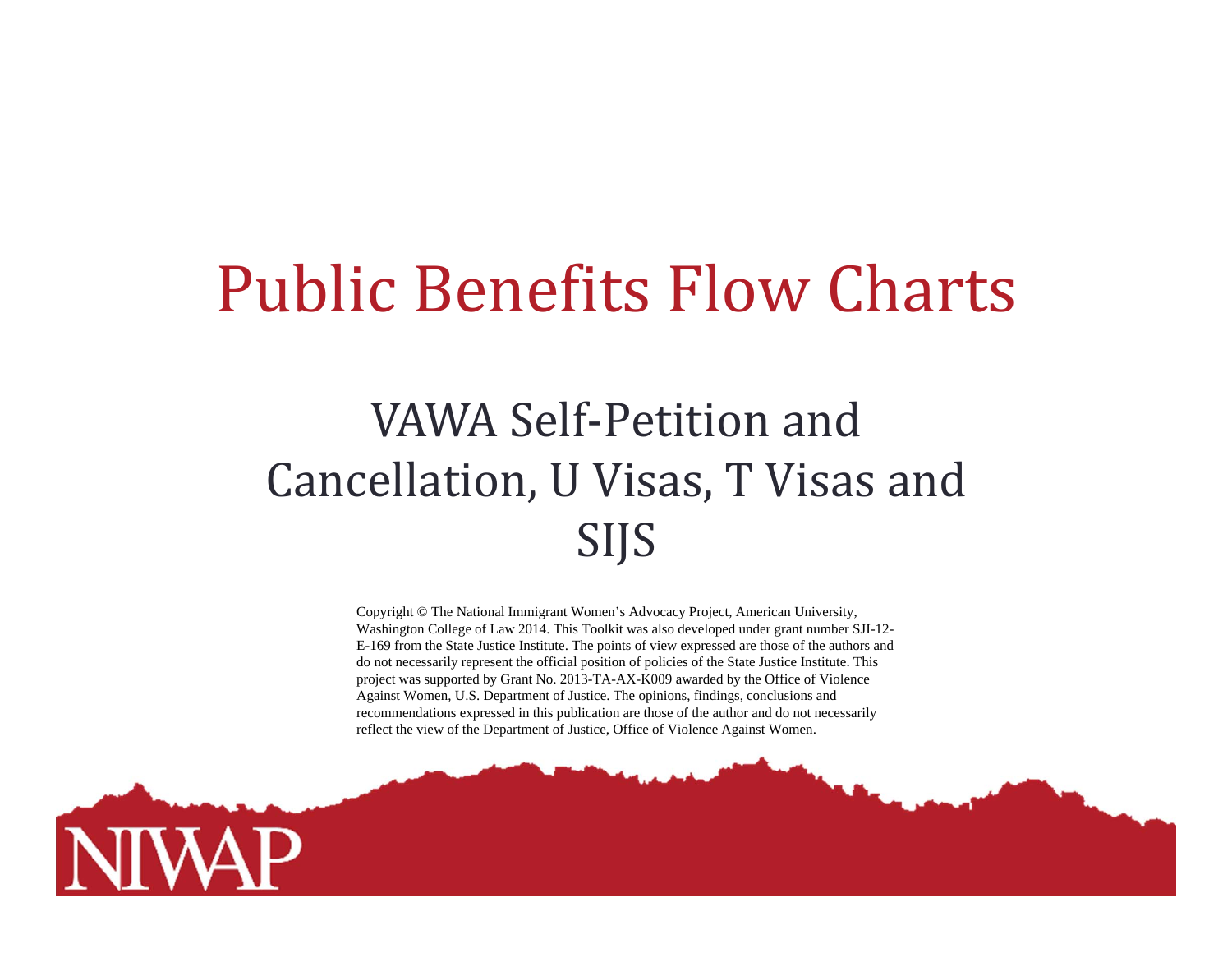## Public Benefits Flow Charts

## VAWA Self-Petition and Cancellation, U Visas, T Visas and SIJS

Copyright © The National Immigrant Women's Advocacy Project, American University, Washington College of Law 2014. This Toolkit was also developed under grant number SJI-12- E-169 from the State Justice Institute. The points of view expressed are those of the authors and do not necessarily represent the official position of policies of the State Justice Institute. This project was supported by Grant No. 2013-TA-AX-K009 awarded by the Office of Violence Against Women, U.S. Department of Justice. The opinions, findings, conclusions and recommendations expressed in this publication are those of the author and do not necessarily reflect the view of the Department of Justice, Office of Violence Against Women.

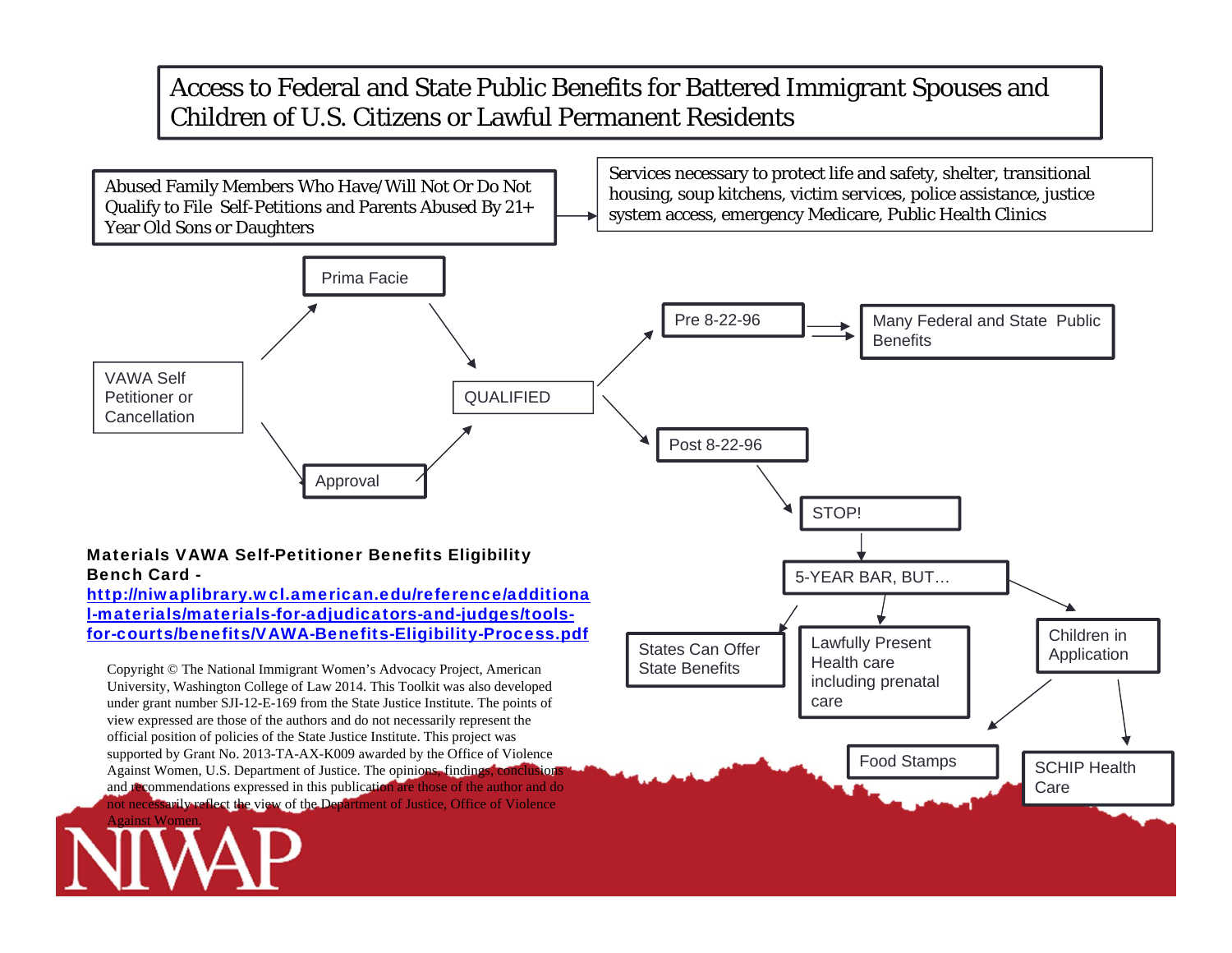## Access to Federal and State Public Benefits for Battered Immigrant Spouses and Children of U.S. Citizens or Lawful Permanent Residents

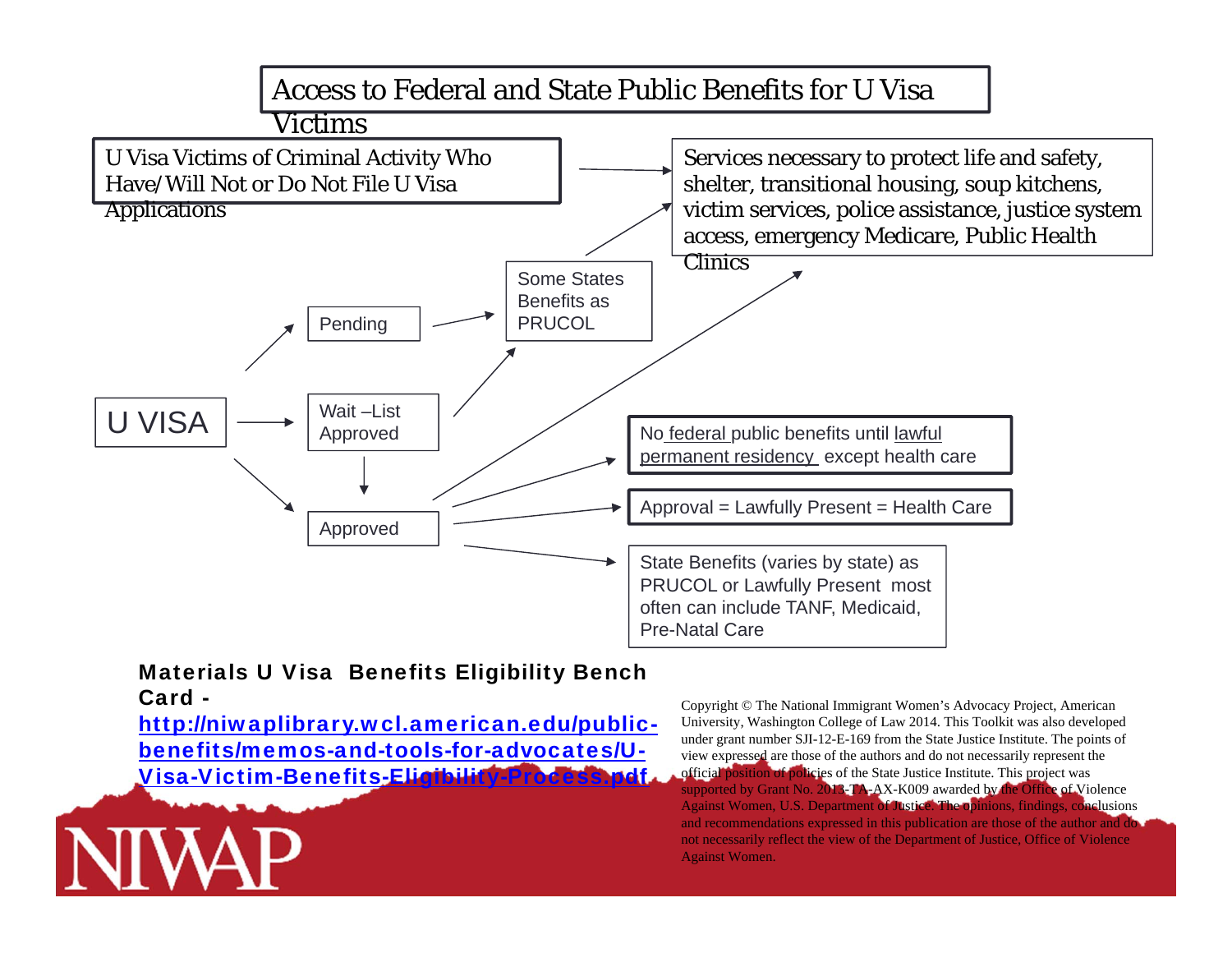

## Card -

http://niwaplibrary.wcl.american.edu/publicbenefits/memos-and-tools-for-advocates/U-Visa-Victim-Benefits-Elictbilit

Copyright © The National Immigrant Women's Advocacy Project, American University, Washington College of Law 2014. This Toolkit was also developed under grant number SJI-12-E-169 from the State Justice Institute. The points of view expressed are those of the authors and do not necessarily represent the official position of policies of the State Justice Institute. This project was supported by Grant No. 2013-TA-AX-K009 awarded by the Office of Violence Against Women, U.S. Department of Justice. The opinions, findings, conclusions and recommendations expressed in this publication are those of the author and do not necessarily reflect the view of the Department of Justice, Office of Violence Against Women.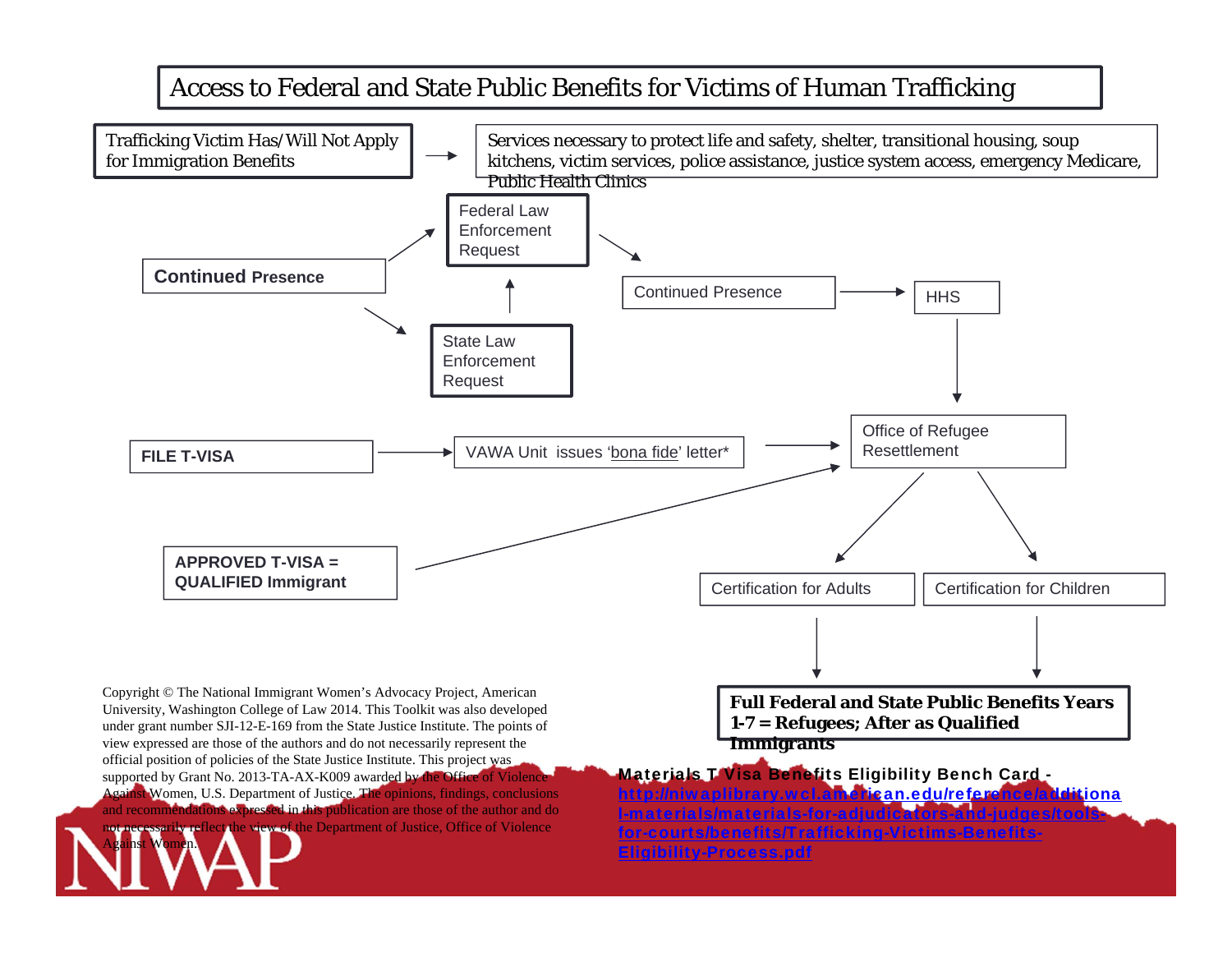